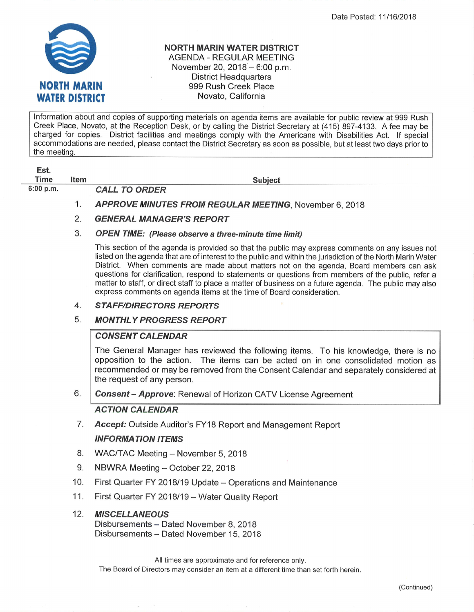

### NORTH MARIN WATER DISTRICT AGENDA - REGULAR MEETING November 20,  $2018 - 6:00$  p.m. District Headquarters 999 Rush Creek Place Novato, California

lnformation about and copies of supporting materials on agenda items are available for public review at 999 Rush Creek Place, Novato, at the Reception Desk, or by calling the District Secretary at (415) 897-4133. A fee may be charged for copies. District facilities and meetings comply with the Americans with Disabilities Act. If special accommodations are needed, please contact the District Secretary as soon as possible, but at least two days prior to the meeting.

| Est.<br>Time | Item | <b>Subject</b>                             |
|--------------|------|--------------------------------------------|
| 6:00 p.m.    |      | <b>CALL TO ORDER</b>                       |
|              |      | <b>APPROVE MINUTES FROM REGULAR MEETII</b> |

FROM REGULAR MEETING, November 6, 2018

# 2. GENERAL MANAGER'S REPORT

### 3. OPEN TIME: (Please observe a three-minute time limit)

This section of the agenda is provided so that the public may express comments on any issues not listed on the agenda that are of interest to the public and Within the jurisdiction of the North Marin Water District. When comments are made about matters not on the agenda, Board members can ask questions for clarification, respond to statements or questions from members of the public, refer a matter to staff, or direct staff to place a matter of business on a future agenda. The public may also express comments on agenda items at the time of Board consideration.

#### **STAFF/DIRECTORS REPORTS** 4

#### **MONTHLY PROGRESS REPORT** 5

## **CONSENT CALENDAR**

The General Manager has reviewed the following items. To his knowledge, there is no opposition to the action. The items can be acted on in one consolidated motion as recommended or may be removed from the Consent Calendar and separately considered at the request of any person.

Consent - Approve: Renewal of Horizon CATV License Agreement 6

## ACTION CALENDAR

Accept: Outside Auditor's FY18 Report and Management Report 7

## INFORMATION ITEMS

- WAC/TAC Meeting November 5, 2018 8.
- NBWRA Meeting October 22, 2018 9.
- First Quarter FY 2018/19 Update Operations and Maintenance 10.
- First Quarter FY 2018/19 Water Quality Report 11.

#### MISCELLANEOUS 12.

Disbursements - Dated November 8, 2018 Disbursements - Dated November 15, 2018

All times are approximate and for reference only. The Board of Directors may consider an item at a different time than set forth herein.